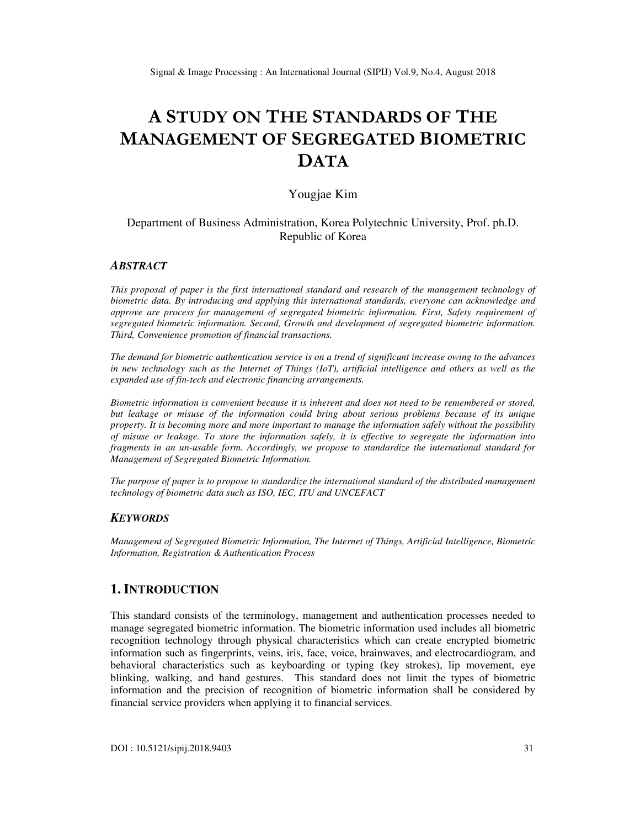# **A STUDY ON THE STANDARDS OF THE MANAGEMENT OF SEGREGATED BIOMETRIC DATA**

### Yougjae Kim

### Department of Business Administration, Korea Polytechnic University, Prof. ph.D. Republic of Korea

### *ABSTRACT*

*This proposal of paper is the first international standard and research of the management technology of biometric data. By introducing and applying this international standards, everyone can acknowledge and approve are process for management of segregated biometric information. First, Safety requirement of segregated biometric information. Second, Growth and development of segregated biometric information. Third, Convenience promotion of financial transactions.* 

*The demand for biometric authentication service is on a trend of significant increase owing to the advances in new technology such as the Internet of Things (IoT), artificial intelligence and others as well as the expanded use of fin-tech and electronic financing arrangements.* 

*Biometric information is convenient because it is inherent and does not need to be remembered or stored, but leakage or misuse of the information could bring about serious problems because of its unique property. It is becoming more and more important to manage the information safely without the possibility of misuse or leakage. To store the information safely, it is effective to segregate the information into fragments in an un-usable form. Accordingly, we propose to standardize the international standard for Management of Segregated Biometric Information.* 

*The purpose of paper is to propose to standardize the international standard of the distributed management technology of biometric data such as ISO, IEC, ITU and UNCEFACT* 

### *KEYWORDS*

*Management of Segregated Biometric Information, The Internet of Things, Artificial Intelligence, Biometric Information, Registration & Authentication Process* 

### **1. INTRODUCTION**

This standard consists of the terminology, management and authentication processes needed to manage segregated biometric information. The biometric information used includes all biometric recognition technology through physical characteristics which can create encrypted biometric information such as fingerprints, veins, iris, face, voice, brainwaves, and electrocardiogram, and behavioral characteristics such as keyboarding or typing (key strokes), lip movement, eye blinking, walking, and hand gestures. This standard does not limit the types of biometric information and the precision of recognition of biometric information shall be considered by financial service providers when applying it to financial services.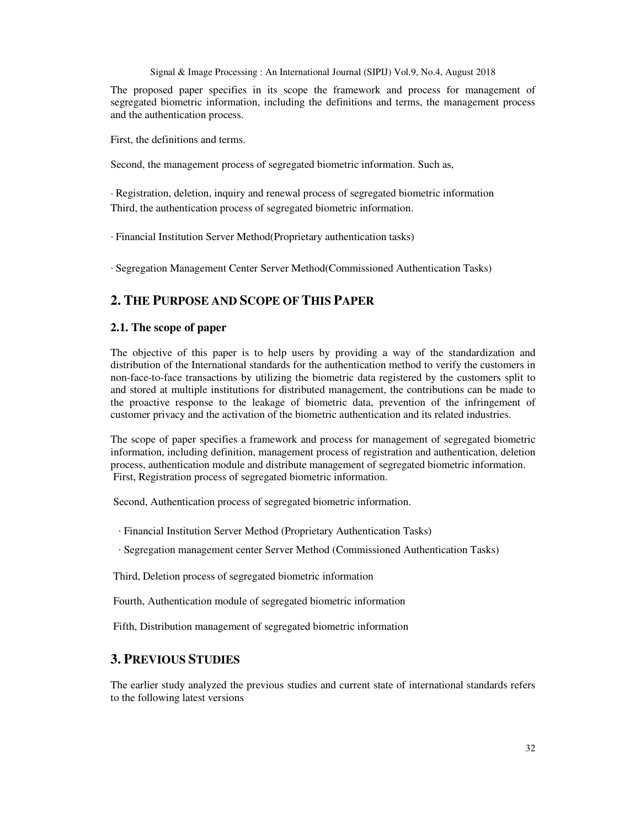The proposed paper specifies in its scope the framework and process for management of segregated biometric information, including the definitions and terms, the management process and the authentication process.

First, the definitions and terms.

Second, the management process of segregated biometric information. Such as,

· Registration, deletion, inquiry and renewal process of segregated biometric information Third, the authentication process of segregated biometric information.

· Financial Institution Server Method(Proprietary authentication tasks)

· Segregation Management Center Server Method(Commissioned Authentication Tasks)

# **2. THE PURPOSE AND SCOPE OF THIS PAPER**

### **2.1. The scope of paper**

The objective of this paper is to help users by providing a way of the standardization and distribution of the International standards for the authentication method to verify the customers in non-face-to-face transactions by utilizing the biometric data registered by the customers split to and stored at multiple institutions for distributed management, the contributions can be made to the proactive response to the leakage of biometric data, prevention of the infringement of customer privacy and the activation of the biometric authentication and its related industries.

The scope of paper specifies a framework and process for management of segregated biometric information, including definition, management process of registration and authentication, deletion process, authentication module and distribute management of segregated biometric information. First, Registration process of segregated biometric information.

Second, Authentication process of segregated biometric information.

· Financial Institution Server Method (Proprietary Authentication Tasks)

· Segregation management center Server Method (Commissioned Authentication Tasks)

Third, Deletion process of segregated biometric information

Fourth, Authentication module of segregated biometric information

Fifth, Distribution management of segregated biometric information

### **3. PREVIOUS STUDIES**

The earlier study analyzed the previous studies and current state of international standards refers to the following latest versions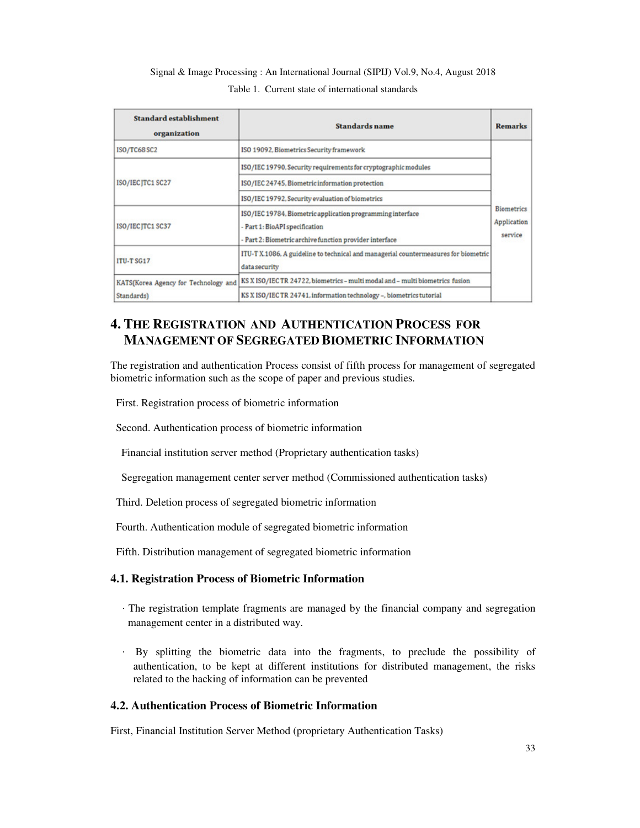# Signal & Image Processing : An International Journal (SIPIJ) Vol.9, No.4, August 2018 Table 1. Current state of international standards

| <b>Standard establishment</b><br>organization      | <b>Standards name</b>                                                                                                                                   | <b>Remarks</b>                              |  |
|----------------------------------------------------|---------------------------------------------------------------------------------------------------------------------------------------------------------|---------------------------------------------|--|
| ISO/TC68 SC2                                       | ISO 19092, Biometrics Security framework                                                                                                                |                                             |  |
| ISO/IEC JTC1 SC27                                  | ISO/IEC 19790. Security requirements for cryptographic modules                                                                                          |                                             |  |
|                                                    | ISO/IEC 24745, Biometric information protection                                                                                                         |                                             |  |
|                                                    | ISO/IEC 19792, Security evaluation of biometrics                                                                                                        |                                             |  |
| ISO/IEC JTC1 SC37                                  | ISO/IEC 19784, Biometric application programming interface<br>- Part 1: BioAPI specification<br>- Part 2: Biometric archive function provider interface | <b>Biometrics</b><br>Application<br>service |  |
| <b>ITU-T SG17</b>                                  | ITU-T X.1086. A guideline to technical and managerial countermeasures for biometric<br>data security                                                    |                                             |  |
| KATS(Korea Agency for Technology and<br>Standards) | KS X ISO/IEC TR 24722, biometrics - multi modal and - multi biometrics fusion                                                                           |                                             |  |
|                                                    | KS X ISO/IEC TR 24741, information technology -, biometrics tutorial                                                                                    |                                             |  |

# **4. THE REGISTRATION AND AUTHENTICATION PROCESS FOR MANAGEMENT OF SEGREGATED BIOMETRIC INFORMATION**

The registration and authentication Process consist of fifth process for management of segregated biometric information such as the scope of paper and previous studies.

First. Registration process of biometric information

Second. Authentication process of biometric information

Financial institution server method (Proprietary authentication tasks)

Segregation management center server method (Commissioned authentication tasks)

Third. Deletion process of segregated biometric information

Fourth. Authentication module of segregated biometric information

Fifth. Distribution management of segregated biometric information

### **4.1. Registration Process of Biometric Information**

- · The registration template fragments are managed by the financial company and segregation management center in a distributed way.
- · By splitting the biometric data into the fragments, to preclude the possibility of authentication, to be kept at different institutions for distributed management, the risks related to the hacking of information can be prevented

### **4.2. Authentication Process of Biometric Information**

First, Financial Institution Server Method (proprietary Authentication Tasks)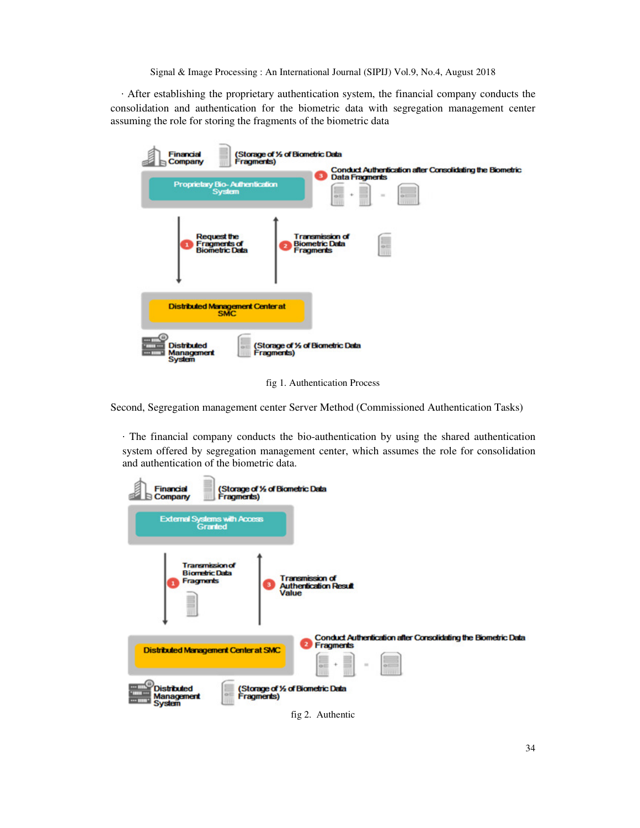· After establishing the proprietary authentication system, the financial company conducts the consolidation and authentication for the biometric data with segregation management center assuming the role for storing the fragments of the biometric data

| (Storage of % of Biometric Data<br><b>Financial</b><br>Fragments)<br>Company<br><b>Proprietary Bio-Authentication</b><br>System | <b>Conduct Authentication after Consolidating the Biometric</b><br>з<br><b>Data Fragments</b><br><b>Contract</b><br>蒜<br>$\sim$<br>$\sim$<br>O(1)<br>$\sim$<br><b>STREET</b><br>- 11 |
|---------------------------------------------------------------------------------------------------------------------------------|--------------------------------------------------------------------------------------------------------------------------------------------------------------------------------------|
| <b>Request the</b><br><b>Fragments of<br/>Biometric Data</b>                                                                    | <b>Transmission of</b><br>E<br><b>Biometric Data</b><br><b>KDIT</b><br><b>Fragments</b><br>5332                                                                                      |
| <b>Distributed Management Center at</b><br><b>SMC</b>                                                                           |                                                                                                                                                                                      |
| <b>THE TIME</b><br><b>Distributed</b><br><b>* HOUR ***</b><br>ice III<br>Management<br>Fragments)<br><b>HIM!</b><br>System      | (Storage of % of Biometric Data                                                                                                                                                      |

fig 1. Authentication Process

Second, Segregation management center Server Method (Commissioned Authentication Tasks)

· The financial company conducts the bio-authentication by using the shared authentication system offered by segregation management center, which assumes the role for consolidation and authentication of the biometric data.

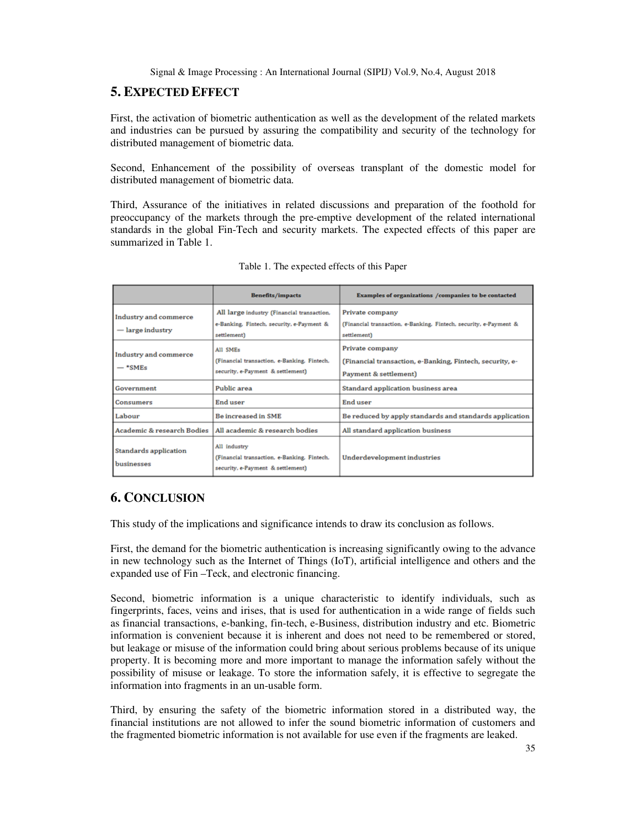### **5. EXPECTED EFFECT**

First, the activation of biometric authentication as well as the development of the related markets and industries can be pursued by assuring the compatibility and security of the technology for distributed management of biometric data.

Second, Enhancement of the possibility of overseas transplant of the domestic model for distributed management of biometric data.

Third, Assurance of the initiatives in related discussions and preparation of the foothold for preoccupancy of the markets through the pre-emptive development of the related international standards in the global Fin-Tech and security markets. The expected effects of this paper are summarized in Table 1.

|                                                | <b>Benefits/impacts</b>                                                                                | Examples of organizations /companies to be contacted                                                 |
|------------------------------------------------|--------------------------------------------------------------------------------------------------------|------------------------------------------------------------------------------------------------------|
| Industry and commerce<br>$-\ln$ large industry | All large industry (Financial transaction,<br>e-Banking, Fintech, security, e-Payment &<br>settlement) | Private company<br>(Financial transaction, e-Banking, Fintech, security, e-Payment &<br>settlement)  |
| Industry and commerce<br>$-$ *SMEs             | All SMEs<br>(Financial transaction, e-Banking, Fintech,<br>security, e-Payment & settlement)           | Private company<br>(Financial transaction, e-Banking, Fintech, security, e-<br>Payment & settlement) |
| Government                                     | Public area                                                                                            | Standard application business area                                                                   |
| Consumers                                      | End user                                                                                               | End user                                                                                             |
| Labour                                         | <b>Be increased in SME</b>                                                                             | Be reduced by apply standards and standards application                                              |
| <b>Academic &amp; research Bodies</b>          | All academic & research bodies                                                                         | All standard application business                                                                    |
| Standards application<br>businesses            | All industry<br>(Financial transaction, e-Banking, Fintech,<br>security, e-Payment & settlement)       | Underdevelopment industries                                                                          |

# **6. CONCLUSION**

This study of the implications and significance intends to draw its conclusion as follows.

First, the demand for the biometric authentication is increasing significantly owing to the advance in new technology such as the Internet of Things (IoT), artificial intelligence and others and the expanded use of Fin –Teck, and electronic financing.

Second, biometric information is a unique characteristic to identify individuals, such as fingerprints, faces, veins and irises, that is used for authentication in a wide range of fields such as financial transactions, e-banking, fin-tech, e-Business, distribution industry and etc. Biometric information is convenient because it is inherent and does not need to be remembered or stored, but leakage or misuse of the information could bring about serious problems because of its unique property. It is becoming more and more important to manage the information safely without the possibility of misuse or leakage. To store the information safely, it is effective to segregate the information into fragments in an un-usable form.

Third, by ensuring the safety of the biometric information stored in a distributed way, the financial institutions are not allowed to infer the sound biometric information of customers and the fragmented biometric information is not available for use even if the fragments are leaked.